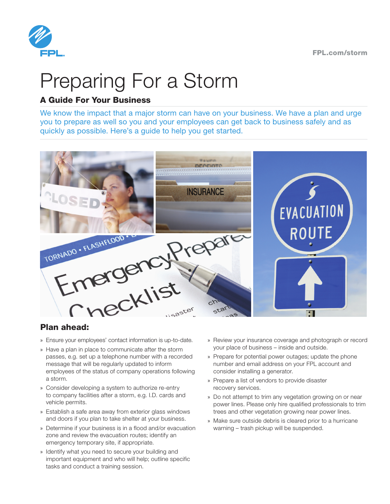

# Preparing For a Storm

#### A Guide For Your Business

We know the impact that a major storm can have on your business. We have a plan and urge you to prepare as well so you and your employees can get back to business safely and as quickly as possible. Here's a guide to help you get started.



#### Plan ahead:

- 
- » Have a plan in place to communicate after the storm passes, e.g. set up a telephone number with a recorded message that will be regularly updated to inform employees of the status of company operations following a storm.
- » Consider developing a system to authorize re-entry to company facilities after a storm, e.g. I.D. cards and vehicle permits.
- » Establish a safe area away from exterior glass windows and doors if you plan to take shelter at your business.
- » Determine if your business is in a flood and/or evacuation zone and review the evacuation routes; identify an emergency temporary site, if appropriate.
- » Identify what you need to secure your building and important equipment and who will help; outline specific tasks and conduct a training session.
- » Review your insurance coverage and photograph or record your place of business – inside and outside.
- » Prepare for potential power outages; update the phone number and email address on your FPL account and consider installing a generator.
- » Prepare a list of vendors to provide disaster recovery services.
- » Do not attempt to trim any vegetation growing on or near power lines. Please only hire qualified professionals to trim trees and other vegetation growing near power lines.
- » Make sure outside debris is cleared prior to a hurricane warning – trash pickup will be suspended.